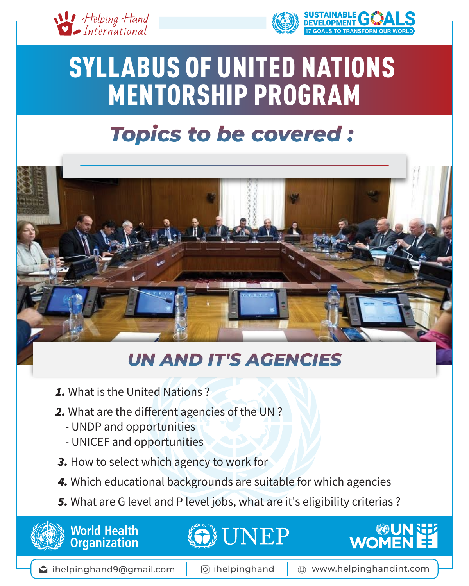



**DALS TO TRANSFORM OUR WORLD** 



# SYLLABUS OF UNITED NATIONS MENTORSHIP PROGRAM

## Topics to be covered:



### UN AND IT'S AGENCIES

- *1.* What is the United Nations ?
- *2.* What are the different agencies of the UN ?
	- UNDP and opportunities
	- UNICEF and opportunities
- *3.* How to select which agency to work for
- *4.* Which educational backgrounds are suitable for which agencies
- *5.* What are G level and P level jobs, what are it's eligibility criterias ?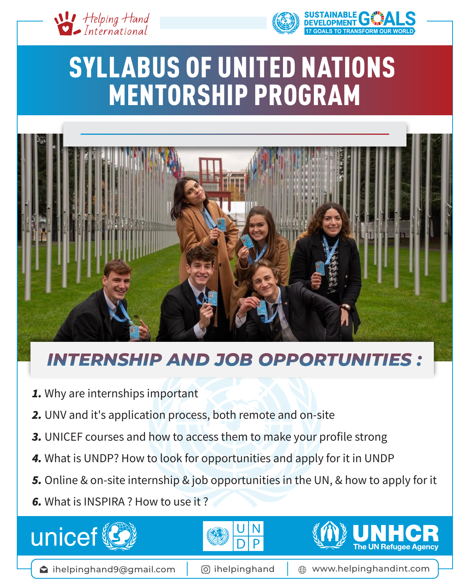



**17 TO TRANSFORM OUR WORLD** 

# SYLLABUS OF UNITED NATIONS MENTORSHIP PROGRAM



#### **INTERNSHIP AND JOB OPPORTUNITIES :**

- *1.* Why are internships important
- *2.* UNV and it's application process, both remote and on-site
- **3.** UNICEF courses and how to access them to make your profile strong
- *4.* What is UNDP? How to look for opportunities and apply for it in UNDP
- *5.* Online & on-site internship & job opportunities in the UN, & how to apply for it
- *6.* What is INSPIRA ? How to use it ?







 $\bullet$  ihelpinghand9@gmail.com | © ihelpinghand |  $\oplus$  www.helpinghandint.com